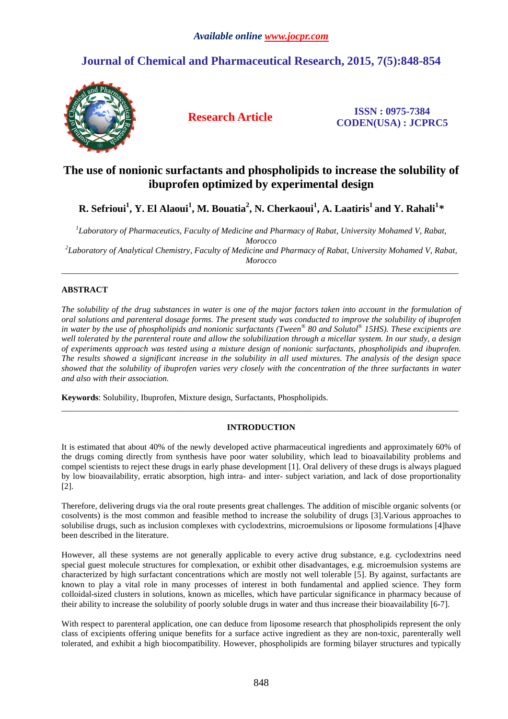# **Journal of Chemical and Pharmaceutical Research, 2015, 7(5):848-854**



**Research Article ISSN : 0975-7384 CODEN(USA) : JCPRC5**

# **The use of nonionic surfactants and phospholipids to increase the solubility of ibuprofen optimized by experimental design**

# **R. Sefrioui<sup>1</sup> , Y. El Alaoui<sup>1</sup> , M. Bouatia<sup>2</sup> , N. Cherkaoui<sup>1</sup> , A. Laatiris<sup>1</sup>and Y. Rahali<sup>1</sup>** *\**

*1 Laboratory of Pharmaceutics, Faculty of Medicine and Pharmacy of Rabat, University Mohamed V, Rabat, Morocco 2 Laboratory of Analytical Chemistry, Faculty of Medicine and Pharmacy of Rabat, University Mohamed V, Rabat, Morocco*

\_\_\_\_\_\_\_\_\_\_\_\_\_\_\_\_\_\_\_\_\_\_\_\_\_\_\_\_\_\_\_\_\_\_\_\_\_\_\_\_\_\_\_\_\_\_\_\_\_\_\_\_\_\_\_\_\_\_\_\_\_\_\_\_\_\_\_\_\_\_\_\_\_\_\_\_\_\_\_\_\_\_\_\_\_\_\_\_\_\_\_\_\_

# **ABSTRACT**

*The solubility of the drug substances in water is one of the major factors taken into account in the formulation of oral solutions and parenteral dosage forms. The present study was conducted to improve the solubility of ibuprofen in water by the use of phospholipids and nonionic surfactants (Tween® 80 and Solutol® 15HS). These excipients are well tolerated by the parenteral route and allow the solubilization through a micellar system. In our study, a design of experiments approach was tested using a mixture design of nonionic surfactants, phospholipids and ibuprofen. The results showed a significant increase in the solubility in all used mixtures. The analysis of the design space showed that the solubility of ibuprofen varies very closely with the concentration of the three surfactants in water and also with their association.* 

**Keywords**: Solubility, Ibuprofen, Mixture design, Surfactants, Phospholipids.

# **INTRODUCTION**

\_\_\_\_\_\_\_\_\_\_\_\_\_\_\_\_\_\_\_\_\_\_\_\_\_\_\_\_\_\_\_\_\_\_\_\_\_\_\_\_\_\_\_\_\_\_\_\_\_\_\_\_\_\_\_\_\_\_\_\_\_\_\_\_\_\_\_\_\_\_\_\_\_\_\_\_\_\_\_\_\_\_\_\_\_\_\_\_\_\_\_\_\_

It is estimated that about 40% of the newly developed active pharmaceutical ingredients and approximately 60% of the drugs coming directly from synthesis have poor water solubility, which lead to bioavailability problems and compel scientists to reject these drugs in early phase development [1]. Oral delivery of these drugs is always plagued by low bioavailability, erratic absorption, high intra- and inter- subject variation, and lack of dose proportionality [2].

Therefore, delivering drugs via the oral route presents great challenges. The addition of miscible organic solvents (or cosolvents) is the most common and feasible method to increase the solubility of drugs [3].Various approaches to solubilise drugs, such as inclusion complexes with cyclodextrins, microemulsions or liposome formulations [4]have been described in the literature.

However, all these systems are not generally applicable to every active drug substance, e.g. cyclodextrins need special guest molecule structures for complexation, or exhibit other disadvantages, e.g. microemulsion systems are characterized by high surfactant concentrations which are mostly not well tolerable [5]. By against, surfactants are known to play a vital role in many processes of interest in both fundamental and applied science. They form colloidal-sized clusters in solutions, known as micelles, which have particular significance in pharmacy because of their ability to increase the solubility of poorly soluble drugs in water and thus increase their bioavailability [6-7].

With respect to parenteral application, one can deduce from liposome research that phospholipids represent the only class of excipients offering unique benefits for a surface active ingredient as they are non-toxic, parenterally well tolerated, and exhibit a high biocompatibility. However, phospholipids are forming bilayer structures and typically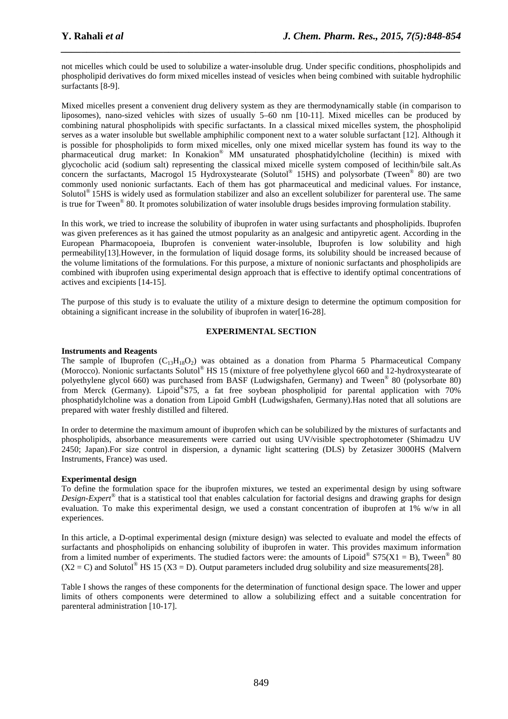not micelles which could be used to solubilize a water-insoluble drug. Under specific conditions, phospholipids and phospholipid derivatives do form mixed micelles instead of vesicles when being combined with suitable hydrophilic surfactants [8-9].

*\_\_\_\_\_\_\_\_\_\_\_\_\_\_\_\_\_\_\_\_\_\_\_\_\_\_\_\_\_\_\_\_\_\_\_\_\_\_\_\_\_\_\_\_\_\_\_\_\_\_\_\_\_\_\_\_\_\_\_\_\_\_\_\_\_\_\_\_\_\_\_\_\_\_\_\_\_\_*

Mixed micelles present a convenient drug delivery system as they are thermodynamically stable (in comparison to liposomes), nano-sized vehicles with sizes of usually 5–60 nm [10-11]. Mixed micelles can be produced by combining natural phospholipids with specific surfactants. In a classical mixed micelles system, the phospholipid serves as a water insoluble but swellable amphiphilic component next to a water soluble surfactant [12]. Although it is possible for phospholipids to form mixed micelles, only one mixed micellar system has found its way to the pharmaceutical drug market: In Konakion® MM unsaturated phosphatidylcholine (lecithin) is mixed with glycocholic acid (sodium salt) representing the classical mixed micelle system composed of lecithin/bile salt.As concern the surfactants, Macrogol 15 Hydroxystearate (Solutol® 15HS) and polysorbate (Tween® 80) are two commonly used nonionic surfactants. Each of them has got pharmaceutical and medicinal values. For instance, Solutol® 15HS is widely used as formulation stabilizer and also an excellent solubilizer for parenteral use. The same is true for Tween<sup>®</sup> 80. It promotes solubilization of water insoluble drugs besides improving formulation stability.

In this work, we tried to increase the solubility of ibuprofen in water using surfactants and phospholipids. Ibuprofen was given preferences as it has gained the utmost popularity as an analgesic and antipyretic agent. According in the European Pharmacopoeia, Ibuprofen is convenient water-insoluble, Ibuprofen is low solubility and high permeability[13].However, in the formulation of liquid dosage forms, its solubility should be increased because of the volume limitations of the formulations. For this purpose, a mixture of nonionic surfactants and phospholipids are combined with ibuprofen using experimental design approach that is effective to identify optimal concentrations of actives and excipients [14-15].

The purpose of this study is to evaluate the utility of a mixture design to determine the optimum composition for obtaining a significant increase in the solubility of ibuprofen in water[16-28].

# **EXPERIMENTAL SECTION**

# **Instruments and Reagents**

The sample of Ibuprofen  $(C_{13}H_{18}O_2)$  was obtained as a donation from Pharma 5 Pharmaceutical Company (Morocco). Nonionic surfactants Solutol® HS 15 (mixture of free polyethylene glycol 660 and 12-hydroxystearate of polyethylene glycol 660) was purchased from BASF (Ludwigshafen, Germany) and Tween® 80 (polysorbate 80) from Merck (Germany). Lipoid® S75, a fat free soybean phospholipid for parental application with 70% phosphatidylcholine was a donation from Lipoid GmbH (Ludwigshafen, Germany).Has noted that all solutions are prepared with water freshly distilled and filtered.

In order to determine the maximum amount of ibuprofen which can be solubilized by the mixtures of surfactants and phospholipids, absorbance measurements were carried out using UV/visible spectrophotometer (Shimadzu UV 2450; Japan).For size control in dispersion, a dynamic light scattering (DLS) by Zetasizer 3000HS (Malvern Instruments, France) was used.

# **Experimental design**

To define the formulation space for the ibuprofen mixtures, we tested an experimental design by using software *Design-Expert®* that is a statistical tool that enables calculation for factorial designs and drawing graphs for design evaluation. To make this experimental design, we used a constant concentration of ibuprofen at 1% w/w in all experiences.

In this article, a D-optimal experimental design (mixture design) was selected to evaluate and model the effects of surfactants and phospholipids on enhancing solubility of ibuprofen in water. This provides maximum information from a limited number of experiments. The studied factors were: the amounts of Lipoid®  $S75(X1 = B)$ , Tween<sup>®</sup> 80  $(X2 = C)$  and Solutol<sup>®</sup> HS 15 (X3 = D). Output parameters included drug solubility and size measurements[28].

Table I shows the ranges of these components for the determination of functional design space. The lower and upper limits of others components were determined to allow a solubilizing effect and a suitable concentration for parenteral administration [10-17].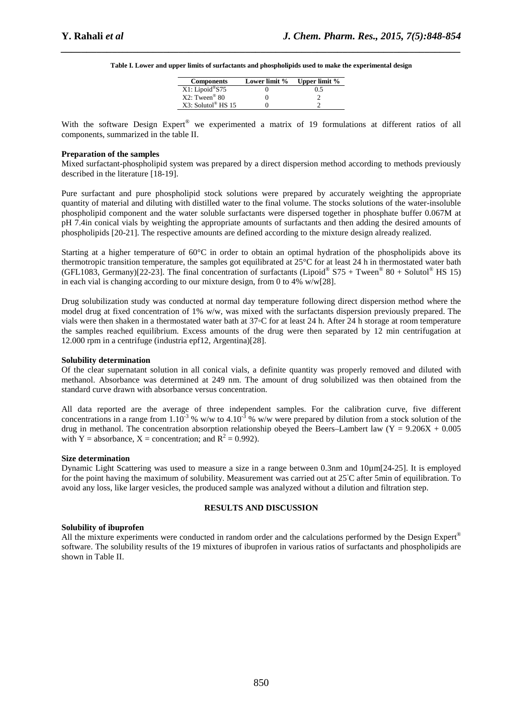*\_\_\_\_\_\_\_\_\_\_\_\_\_\_\_\_\_\_\_\_\_\_\_\_\_\_\_\_\_\_\_\_\_\_\_\_\_\_\_\_\_\_\_\_\_\_\_\_\_\_\_\_\_\_\_\_\_\_\_\_\_\_\_\_\_\_\_\_\_\_\_\_\_\_\_\_\_\_* **Table I. Lower and upper limits of surfactants and phospholipids used to make the experimental design** 

| <b>Components</b>            | Lower limit % | <b>Upper limit %</b> |
|------------------------------|---------------|----------------------|
| X1: Lipoid®S75               |               | 0.5                  |
| $X2$ : Tween <sup>®</sup> 80 |               |                      |
| X3: Solutol® HS 15           |               |                      |

With the software Design Expert® we experimented a matrix of 19 formulations at different ratios of all components, summarized in the table II.

### **Preparation of the samples**

Mixed surfactant-phospholipid system was prepared by a direct dispersion method according to methods previously described in the literature [18-19].

Pure surfactant and pure phospholipid stock solutions were prepared by accurately weighting the appropriate quantity of material and diluting with distilled water to the final volume. The stocks solutions of the water-insoluble phospholipid component and the water soluble surfactants were dispersed together in phosphate buffer 0.067M at pH 7.4in conical vials by weighting the appropriate amounts of surfactants and then adding the desired amounts of phospholipids [20-21]. The respective amounts are defined according to the mixture design already realized.

Starting at a higher temperature of  $60^{\circ}$ C in order to obtain an optimal hydration of the phospholipids above its thermotropic transition temperature, the samples got equilibrated at 25°C for at least 24 h in thermostated water bath (GFL1083, Germany)[22-23]. The final concentration of surfactants (Lipoid®  $S75 + T$ ween® 80 + Solutol® HS 15) in each vial is changing according to our mixture design, from 0 to 4%  $w/w[28]$ .

Drug solubilization study was conducted at normal day temperature following direct dispersion method where the model drug at fixed concentration of 1% w/w, was mixed with the surfactants dispersion previously prepared. The vials were then shaken in a thermostated water bath at 37◦C for at least 24 h. After 24 h storage at room temperature the samples reached equilibrium. Excess amounts of the drug were then separated by 12 min centrifugation at 12.000 rpm in a centrifuge (industria epf12, Argentina)[28].

#### **Solubility determination**

Of the clear supernatant solution in all conical vials, a definite quantity was properly removed and diluted with methanol. Absorbance was determined at 249 nm. The amount of drug solubilized was then obtained from the standard curve drawn with absorbance versus concentration.

All data reported are the average of three independent samples. For the calibration curve, five different concentrations in a range from  $1.10^{-3}$  % w/w to  $4.10^{-3}$  % w/w were prepared by dilution from a stock solution of the drug in methanol. The concentration absorption relationship obeyed the Beers–Lambert law  $(Y = 9.206X + 0.005$ with Y = absorbance, X = concentration; and  $R^2 = 0.992$ ).

#### **Size determination**

Dynamic Light Scattering was used to measure a size in a range between 0.3nm and 10µm[24-25]. It is employed for the point having the maximum of solubility. Measurement was carried out at 25◦C after 5min of equilibration. To avoid any loss, like larger vesicles, the produced sample was analyzed without a dilution and filtration step.

#### **RESULTS AND DISCUSSION**

### **Solubility of ibuprofen**

All the mixture experiments were conducted in random order and the calculations performed by the Design Expert<sup>®</sup> software. The solubility results of the 19 mixtures of ibuprofen in various ratios of surfactants and phospholipids are shown in Table II.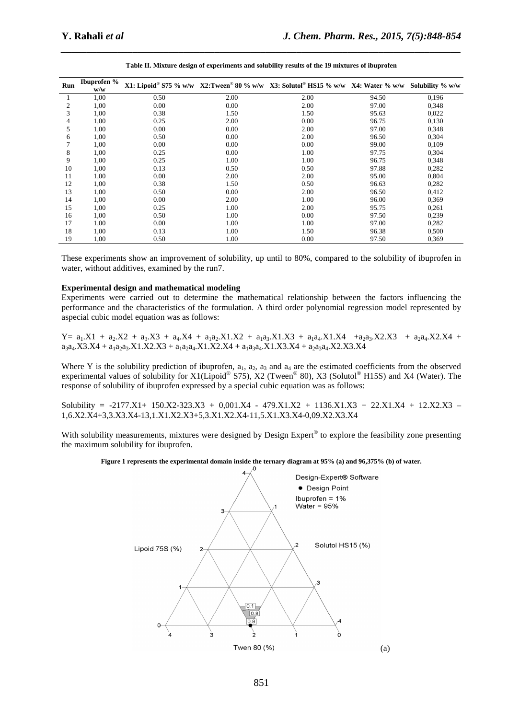| Run | <b>Ibuprofen</b> %<br>w/w |      |      | X1: Lipoid® S75 % w/w X2:Tween® 80 % w/w X3: Solutol® HS15 % w/w X4: Water % w/w |       | Solubility % w/w |
|-----|---------------------------|------|------|----------------------------------------------------------------------------------|-------|------------------|
|     | 1,00                      | 0.50 | 2.00 | 2.00                                                                             | 94.50 | 0,196            |
| 2   | 1,00                      | 0.00 | 0.00 | 2.00                                                                             | 97.00 | 0,348            |
| 3   | 1,00                      | 0.38 | 1.50 | 1.50                                                                             | 95.63 | 0,022            |
| 4   | 1,00                      | 0.25 | 2.00 | 0.00                                                                             | 96.75 | 0,130            |
| 5   | 1,00                      | 0.00 | 0.00 | 2.00                                                                             | 97.00 | 0,348            |
| 6   | 1,00                      | 0.50 | 0.00 | 2.00                                                                             | 96.50 | 0,304            |
|     | 1,00                      | 0.00 | 0.00 | 0.00                                                                             | 99.00 | 0,109            |
| 8   | 1,00                      | 0.25 | 0.00 | 1.00                                                                             | 97.75 | 0,304            |
| 9   | 1,00                      | 0.25 | 1.00 | 1.00                                                                             | 96.75 | 0,348            |
| 10  | 1,00                      | 0.13 | 0.50 | 0.50                                                                             | 97.88 | 0,282            |
| 11  | 1,00                      | 0.00 | 2.00 | 2.00                                                                             | 95.00 | 0,804            |
| 12  | 1,00                      | 0.38 | 1.50 | 0.50                                                                             | 96.63 | 0,282            |
| 13  | 1,00                      | 0.50 | 0.00 | 2.00                                                                             | 96.50 | 0,412            |
| 14  | 1,00                      | 0.00 | 2.00 | 1.00                                                                             | 96.00 | 0,369            |
| 15  | 1,00                      | 0.25 | 1.00 | 2.00                                                                             | 95.75 | 0,261            |
| 16  | 1,00                      | 0.50 | 1.00 | 0.00                                                                             | 97.50 | 0,239            |
| 17  | 1,00                      | 0.00 | 1.00 | 1.00                                                                             | 97.00 | 0,282            |
| 18  | 1,00                      | 0.13 | 1.00 | 1.50                                                                             | 96.38 | 0,500            |
| 19  | 1,00                      | 0.50 | 1.00 | 0.00                                                                             | 97.50 | 0,369            |

**Table II. Mixture design of experiments and solubility results of the 19 mixtures of ibuprofen** 

*\_\_\_\_\_\_\_\_\_\_\_\_\_\_\_\_\_\_\_\_\_\_\_\_\_\_\_\_\_\_\_\_\_\_\_\_\_\_\_\_\_\_\_\_\_\_\_\_\_\_\_\_\_\_\_\_\_\_\_\_\_\_\_\_\_\_\_\_\_\_\_\_\_\_\_\_\_\_*

These experiments show an improvement of solubility, up until to 80%, compared to the solubility of ibuprofen in water, without additives, examined by the run7.

#### **Experimental design and mathematical modeling**

Experiments were carried out to determine the mathematical relationship between the factors influencing the performance and the characteristics of the formulation. A third order polynomial regression model represented by aspecial cubic model equation was as follows:

 $Y= a_1.X1 + a_2.X2 + a_3.X3 + a_4.X4 + a_1a_2.X1.X2 + a_1a_3.X1.X3 + a_1a_4.X1.X4 + a_2a_3.X2.X3 + a_2a_4.X2.X4 +$  $a_3a_4. X3.X4 + a_1a_2a_3.X1.X2.X3 + a_1a_2a_4.X1.X2.X4 + a_1a_3a_4.X1.X3.X4 + a_2a_3a_4.X2.X3.X4$ 

Where Y is the solubility prediction of ibuprofen,  $a_1$ ,  $a_2$ ,  $a_3$  and  $a_4$  are the estimated coefficients from the observed experimental values of solubility for X1(Lipoid® S75), X2 (Tween® 80), X3 (Solutol® H15S) and X4 (Water). The response of solubility of ibuprofen expressed by a special cubic equation was as follows:

Solubility = -2177.X1+ 150.X2-323.X3 + 0,001.X4 - 479.X1.X2 + 1136.X1.X3 + 22.X1.X4 + 12.X2.X3 – 1,6.X2.X4+3,3.X3.X4-13,1.X1.X2.X3+5,3.X1.X2.X4-11,5.X1.X3.X4-0,09.X2.X3.X4

With solubility measurements, mixtures were designed by Design Expert® to explore the feasibility zone presenting the maximum solubility for ibuprofen.



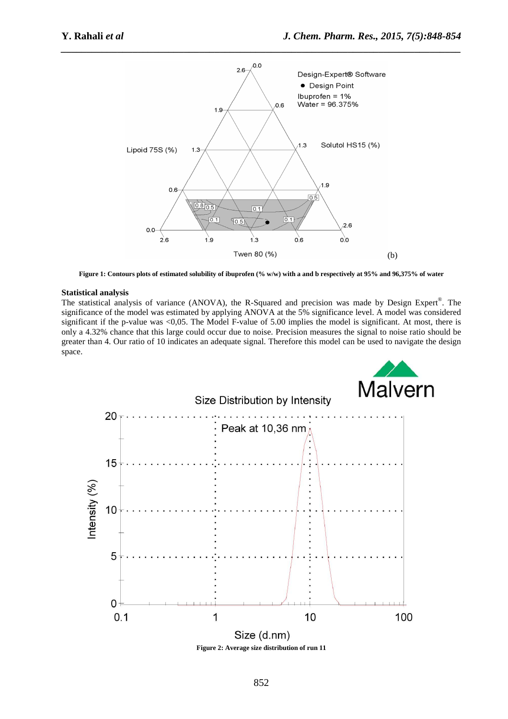

**Figure 1: Contours plots of estimated solubility of ibuprofen (% w/w) with a and b respectively at 95% and 96,375% of water** 

#### **Statistical analysis**

The statistical analysis of variance (ANOVA), the R-Squared and precision was made by Design Expert®. The significance of the model was estimated by applying ANOVA at the 5% significance level. A model was considered significant if the p-value was <0,05. The Model F-value of 5.00 implies the model is significant. At most, there is only a 4.32% chance that this large could occur due to noise. Precision measures the signal to noise ratio should be greater than 4. Our ratio of 10 indicates an adequate signal. Therefore this model can be used to navigate the design space.



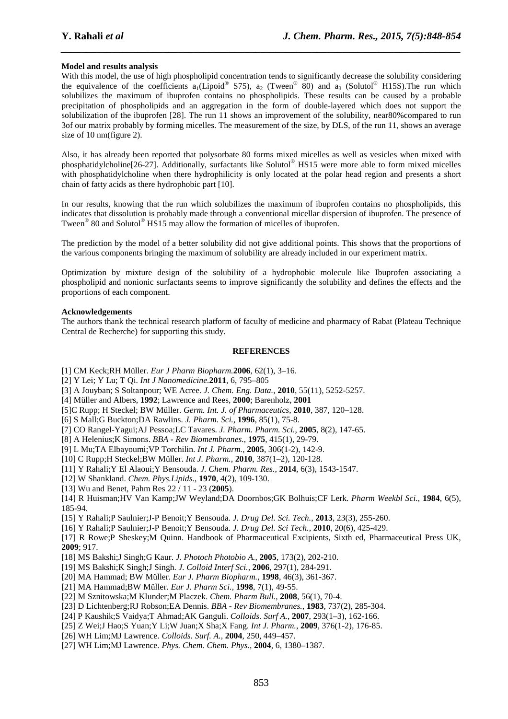### **Model and results analysis**

With this model, the use of high phospholipid concentration tends to significantly decrease the solubility considering the equivalence of the coefficients  $a_1(Lipoid^{\circledast} S75)$ ,  $a_2$  (Tween<sup>®</sup> 80) and  $a_3$  (Solutol<sup>®</sup> H15S). The run which solubilizes the maximum of ibuprofen contains no phospholipids. These results can be caused by a probable precipitation of phospholipids and an aggregation in the form of double-layered which does not support the solubilization of the ibuprofen [28]. The run 11 shows an improvement of the solubility, near80%compared to run 3of our matrix probably by forming micelles. The measurement of the size, by DLS, of the run 11, shows an average size of 10 nm(figure 2).

*\_\_\_\_\_\_\_\_\_\_\_\_\_\_\_\_\_\_\_\_\_\_\_\_\_\_\_\_\_\_\_\_\_\_\_\_\_\_\_\_\_\_\_\_\_\_\_\_\_\_\_\_\_\_\_\_\_\_\_\_\_\_\_\_\_\_\_\_\_\_\_\_\_\_\_\_\_\_*

Also, it has already been reported that polysorbate 80 forms mixed micelles as well as vesicles when mixed with phosphatidylcholine<sup>[26-27]</sup>. Additionally, surfactants like Solutol<sup>®</sup> HS15 were more able to form mixed micelles with phosphatidylcholine when there hydrophilicity is only located at the polar head region and presents a short chain of fatty acids as there hydrophobic part [10].

In our results, knowing that the run which solubilizes the maximum of ibuprofen contains no phospholipids, this indicates that dissolution is probably made through a conventional micellar dispersion of ibuprofen. The presence of Tween<sup>®</sup> 80 and Solutol<sup>®</sup> HS15 may allow the formation of micelles of ibuprofen.

The prediction by the model of a better solubility did not give additional points. This shows that the proportions of the various components bringing the maximum of solubility are already included in our experiment matrix.

Optimization by mixture design of the solubility of a hydrophobic molecule like Ibuprofen associating a phospholipid and nonionic surfactants seems to improve significantly the solubility and defines the effects and the proportions of each component.

#### **Acknowledgements**

The authors thank the technical research platform of faculty of medicine and pharmacy of Rabat (Plateau Technique Central de Recherche) for supporting this study.

#### **REFERENCES**

- [1] CM Keck;RH Müller. *Eur J Pharm Biopharm.***2006**, 62(1), 3–16.
- [2] Y Lei; Y Lu; T Qi. *Int J Nanomedicine.***2011**, 6, 795–805
- [3] A Jouyban; S Soltanpour; WE Acree. *J. Chem. Eng. Data.*, **2010**, 55(11), 5252-5257.

[4] Müller and Albers, **1992**; Lawrence and Rees, **2000**; Barenholz, **2001**

- [5]C Rupp; H Steckel; BW Müller. *Germ. Int. J. of Pharmaceutics,* **2010**, 387, 120–128.
- [6] S Mall;G Buckton;DA Rawlins. *J. Pharm. Sci.*, **1996**, 85(1), 75-8.
- [7] CO Rangel-Yagui;AJ Pessoa;LC Tavares. *J. Pharm. Pharm. Sci.*, **2005**, 8(2), 147-65.
- [8] A Helenius;K Simons. *BBA Rev Biomembranes.*, **1975**, 415(1), 29-79.
- [9] L Mu;TA Elbayoumi;VP Torchilin. *Int J. Pharm.*, **2005**, 306(1-2), 142-9.
- [10] C Rupp;H Steckel;BW Müller. *Int J. Pharm.*, **2010**, 387(1–2), 120-128.
- [11] Y Rahali;Y El Alaoui;Y Bensouda. *J. Chem. Pharm. Res.*, **2014**, 6(3), 1543-1547.
- [12] W Shankland. *Chem. Phys.Lipids.*, **1970**, 4(2), 109-130.
- [13] Wu and Benet, Pahm Res 22 / 11 23 (**2005**).

[14] R Huisman;HV Van Kamp;JW Weyland;DA Doornbos;GK Bolhuis;CF Lerk. *Pharm Weekbl Sci.*, **1984**, 6(5), 185-94.

[15] Y Rahali;P Saulnier;J-P Benoit;Y Bensouda. *J. Drug Del. Sci. Tech.*, **2013**, 23(3), 255-260.

[16] Y Rahali;P Saulnier;J-P Benoit;Y Bensouda. *J. Drug Del. Sci Tech.*, **2010**, 20(6), 425-429.

[17] R Rowe;P Sheskey;M Quinn. Handbook of Pharmaceutical Excipients, Sixth ed, Pharmaceutical Press UK, **2009**; 917.

- [18] MS Bakshi;J Singh;G Kaur. *J. Photoch Photobio A.*, **2005**, 173(2), 202-210.
- [19] MS Bakshi;K Singh;J Singh. *J. Colloid Interf Sci.*, **2006**, 297(1), 284-291.
- [20] MA Hammad; BW Müller. *Eur J. Pharm Biopharm.*, **1998**, 46(3), 361-367.
- [21] MA Hammad;BW Müller. *Eur J. Pharm Sci.*, **1998**, 7(1), 49-55.
- [22] M Sznitowska;M Klunder;M Placzek. *Chem. Pharm Bull.*, **2008**, 56(1), 70-4.
- [23] D Lichtenberg;RJ Robson;EA Dennis. *BBA Rev Biomembranes.*, **1983**, 737(2), 285-304.
- [24] P Kaushik;S Vaidya;T Ahmad;AK Ganguli. *Colloids. Surf A.*, **2007**, 293(1–3), 162-166.
- [25] Z Wei;J Hao;S Yuan;Y Li;W Juan;X Sha;X Fang. *Int J. Pharm.*, **2009**, 376(1-2), 176-85.
- [26] WH Lim;MJ Lawrence. *Colloids. Surf. A.*, **2004**, 250, 449–457.
- [27] WH Lim;MJ Lawrence. *Phys. Chem. Chem. Phys.*, **2004**, 6, 1380–1387.